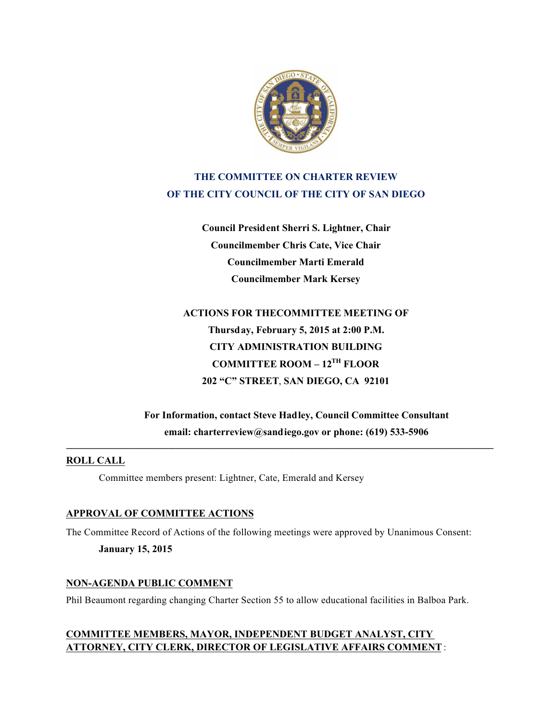

# **THE COMMITTEE ON CHARTER REVIEW OF THE CITY COUNCIL OF THE CITY OF SAN DIEGO**

**Council President Sherri S. Lightner, Chair Councilmember Chris Cate, Vice Chair Councilmember Marti Emerald Councilmember Mark Kersey**

**ACTIONS FOR THECOMMITTEE MEETING OF Thursday, February 5, 2015 at 2:00 P.M. CITY ADMINISTRATION BUILDING COMMITTEE ROOM – 12TH FLOOR 202 "C" STREET**, **SAN DIEGO, CA 92101**

**For Information, contact Steve Hadley, Council Committee Consultant email: charterreview@sandiego.gov or phone: (619) 533-5906**

**\_\_\_\_\_\_\_\_\_\_\_\_\_\_\_\_\_\_\_\_\_\_\_\_\_\_\_\_\_\_\_\_\_\_\_\_\_\_\_\_\_\_\_\_\_\_\_\_\_\_\_\_\_\_\_\_\_\_\_\_\_\_\_\_\_\_\_\_\_\_\_\_\_\_\_\_\_\_\_\_\_\_\_\_\_**

## **ROLL CALL**

Committee members present: Lightner, Cate, Emerald and Kersey

## **APPROVAL OF COMMITTEE ACTIONS**

The Committee Record of Actions of the following meetings were approved by Unanimous Consent: **January 15, 2015**

## **NON-AGENDA PUBLIC COMMENT**

Phil Beaumont regarding changing Charter Section 55 to allow educational facilities in Balboa Park.

## **COMMITTEE MEMBERS, MAYOR, INDEPENDENT BUDGET ANALYST, CITY ATTORNEY, CITY CLERK, DIRECTOR OF LEGISLATIVE AFFAIRS COMMENT** :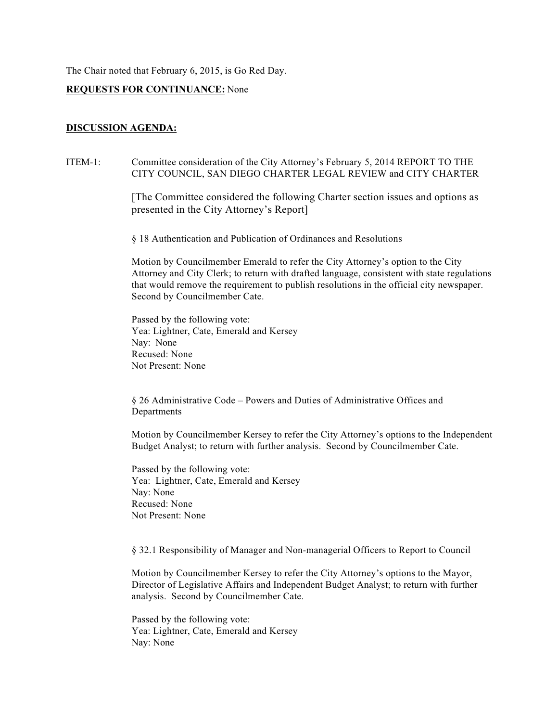The Chair noted that February 6, 2015, is Go Red Day.

## **REQUESTS FOR CONTINUANCE:** None

## **DISCUSSION AGENDA:**

## ITEM-1: Committee consideration of the City Attorney's February 5, 2014 REPORT TO THE CITY COUNCIL, SAN DIEGO CHARTER LEGAL REVIEW and CITY CHARTER

[The Committee considered the following Charter section issues and options as presented in the City Attorney's Report]

§ 18 Authentication and Publication of Ordinances and Resolutions

 Motion by Councilmember Emerald to refer the City Attorney's option to the City Attorney and City Clerk; to return with drafted language, consistent with state regulations that would remove the requirement to publish resolutions in the official city newspaper. Second by Councilmember Cate.

 Passed by the following vote: Yea: Lightner, Cate, Emerald and Kersey Nay: None Recused: None Not Present: None

§ 26 Administrative Code – Powers and Duties of Administrative Offices and **Departments** 

Motion by Councilmember Kersey to refer the City Attorney's options to the Independent Budget Analyst; to return with further analysis. Second by Councilmember Cate.

Passed by the following vote: Yea: Lightner, Cate, Emerald and Kersey Nay: None Recused: None Not Present: None

§ 32.1 Responsibility of Manager and Non-managerial Officers to Report to Council

Motion by Councilmember Kersey to refer the City Attorney's options to the Mayor, Director of Legislative Affairs and Independent Budget Analyst; to return with further analysis. Second by Councilmember Cate.

Passed by the following vote: Yea: Lightner, Cate, Emerald and Kersey Nay: None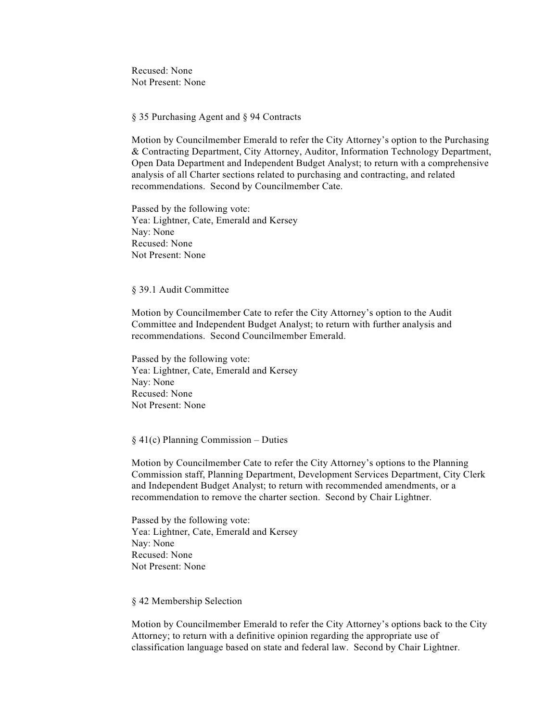Recused: None Not Present: None

§ 35 Purchasing Agent and § 94 Contracts

Motion by Councilmember Emerald to refer the City Attorney's option to the Purchasing & Contracting Department, City Attorney, Auditor, Information Technology Department, Open Data Department and Independent Budget Analyst; to return with a comprehensive analysis of all Charter sections related to purchasing and contracting, and related recommendations. Second by Councilmember Cate.

Passed by the following vote: Yea: Lightner, Cate, Emerald and Kersey Nay: None Recused: None Not Present: None

#### § 39.1 Audit Committee

Motion by Councilmember Cate to refer the City Attorney's option to the Audit Committee and Independent Budget Analyst; to return with further analysis and recommendations. Second Councilmember Emerald.

Passed by the following vote: Yea: Lightner, Cate, Emerald and Kersey Nay: None Recused: None Not Present: None

#### $§$  41(c) Planning Commission – Duties

 Motion by Councilmember Cate to refer the City Attorney's options to the Planning Commission staff, Planning Department, Development Services Department, City Clerk and Independent Budget Analyst; to return with recommended amendments, or a recommendation to remove the charter section. Second by Chair Lightner.

 Passed by the following vote: Yea: Lightner, Cate, Emerald and Kersey Nay: None Recused: None Not Present: None

### § 42 Membership Selection

Motion by Councilmember Emerald to refer the City Attorney's options back to the City Attorney; to return with a definitive opinion regarding the appropriate use of classification language based on state and federal law. Second by Chair Lightner.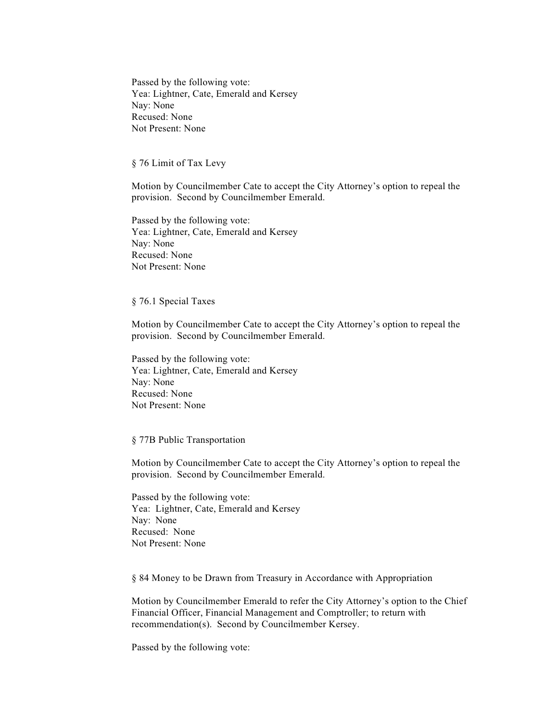Passed by the following vote: Yea: Lightner, Cate, Emerald and Kersey Nay: None Recused: None Not Present: None

#### § 76 Limit of Tax Levy

 Motion by Councilmember Cate to accept the City Attorney's option to repeal the provision. Second by Councilmember Emerald.

 Passed by the following vote: Yea: Lightner, Cate, Emerald and Kersey Nay: None Recused: None Not Present: None

### § 76.1 Special Taxes

Motion by Councilmember Cate to accept the City Attorney's option to repeal the provision. Second by Councilmember Emerald.

Passed by the following vote: Yea: Lightner, Cate, Emerald and Kersey Nay: None Recused: None Not Present: None

#### § 77B Public Transportation

 Motion by Councilmember Cate to accept the City Attorney's option to repeal the provision. Second by Councilmember Emerald.

 Passed by the following vote: Yea: Lightner, Cate, Emerald and Kersey Nay: None Recused: None Not Present: None

§ 84 Money to be Drawn from Treasury in Accordance with Appropriation

 Motion by Councilmember Emerald to refer the City Attorney's option to the Chief Financial Officer, Financial Management and Comptroller; to return with recommendation(s). Second by Councilmember Kersey.

Passed by the following vote: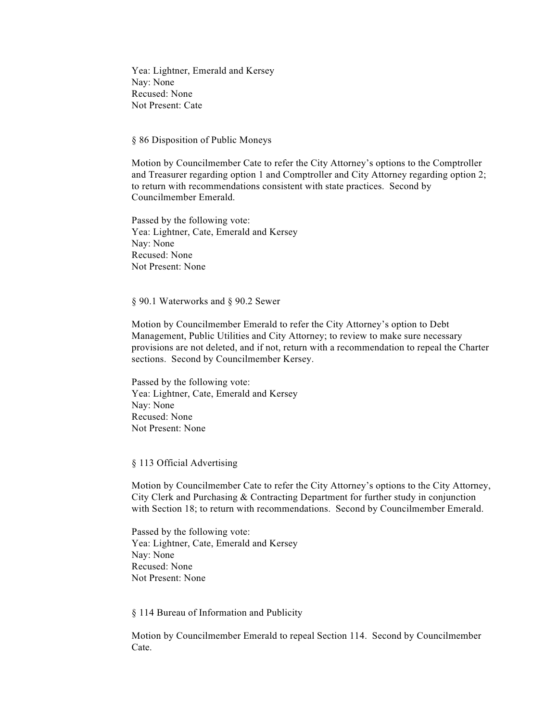Yea: Lightner, Emerald and Kersey Nay: None Recused: None Not Present: Cate

§ 86 Disposition of Public Moneys

Motion by Councilmember Cate to refer the City Attorney's options to the Comptroller and Treasurer regarding option 1 and Comptroller and City Attorney regarding option 2; to return with recommendations consistent with state practices. Second by Councilmember Emerald.

Passed by the following vote: Yea: Lightner, Cate, Emerald and Kersey Nay: None Recused: None Not Present: None

§ 90.1 Waterworks and § 90.2 Sewer

 Motion by Councilmember Emerald to refer the City Attorney's option to Debt Management, Public Utilities and City Attorney; to review to make sure necessary provisions are not deleted, and if not, return with a recommendation to repeal the Charter sections. Second by Councilmember Kersey.

 Passed by the following vote: Yea: Lightner, Cate, Emerald and Kersey Nay: None Recused: None Not Present: None

### § 113 Official Advertising

 Motion by Councilmember Cate to refer the City Attorney's options to the City Attorney, City Clerk and Purchasing & Contracting Department for further study in conjunction with Section 18; to return with recommendations. Second by Councilmember Emerald.

 Passed by the following vote: Yea: Lightner, Cate, Emerald and Kersey Nay: None Recused: None Not Present: None

§ 114 Bureau of Information and Publicity

 Motion by Councilmember Emerald to repeal Section 114. Second by Councilmember Cate.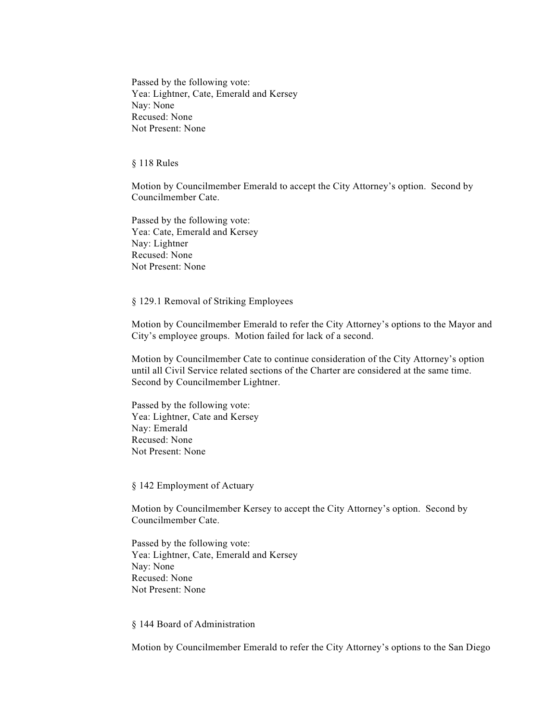Passed by the following vote: Yea: Lightner, Cate, Emerald and Kersey Nay: None Recused: None Not Present: None

§ 118 Rules

 Motion by Councilmember Emerald to accept the City Attorney's option. Second by Councilmember Cate.

Passed by the following vote: Yea: Cate, Emerald and Kersey Nay: Lightner Recused: None Not Present: None

§ 129.1 Removal of Striking Employees

Motion by Councilmember Emerald to refer the City Attorney's options to the Mayor and City's employee groups. Motion failed for lack of a second.

Motion by Councilmember Cate to continue consideration of the City Attorney's option until all Civil Service related sections of the Charter are considered at the same time. Second by Councilmember Lightner.

Passed by the following vote: Yea: Lightner, Cate and Kersey Nay: Emerald Recused: None Not Present: None

§ 142 Employment of Actuary

 Motion by Councilmember Kersey to accept the City Attorney's option. Second by Councilmember Cate.

 Passed by the following vote: Yea: Lightner, Cate, Emerald and Kersey Nay: None Recused: None Not Present: None

#### § 144 Board of Administration

Motion by Councilmember Emerald to refer the City Attorney's options to the San Diego